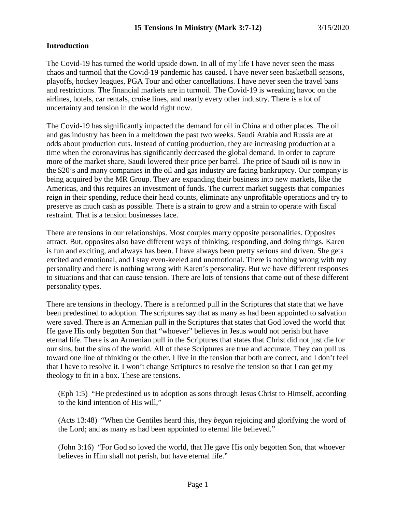### **Introduction**

The Covid-19 has turned the world upside down. In all of my life I have never seen the mass chaos and turmoil that the Covid-19 pandemic has caused. I have never seen basketball seasons, playoffs, hockey leagues, PGA Tour and other cancellations. I have never seen the travel bans and restrictions. The financial markets are in turmoil. The Covid-19 is wreaking havoc on the airlines, hotels, car rentals, cruise lines, and nearly every other industry. There is a lot of uncertainty and tension in the world right now.

The Covid-19 has significantly impacted the demand for oil in China and other places. The oil and gas industry has been in a meltdown the past two weeks. Saudi Arabia and Russia are at odds about production cuts. Instead of cutting production, they are increasing production at a time when the coronavirus has significantly decreased the global demand. In order to capture more of the market share, Saudi lowered their price per barrel. The price of Saudi oil is now in the \$20's and many companies in the oil and gas industry are facing bankruptcy. Our company is being acquired by the MR Group. They are expanding their business into new markets, like the Americas, and this requires an investment of funds. The current market suggests that companies reign in their spending, reduce their head counts, eliminate any unprofitable operations and try to preserve as much cash as possible. There is a strain to grow and a strain to operate with fiscal restraint. That is a tension businesses face.

There are tensions in our relationships. Most couples marry opposite personalities. Opposites attract. But, opposites also have different ways of thinking, responding, and doing things. Karen is fun and exciting, and always has been. I have always been pretty serious and driven. She gets excited and emotional, and I stay even-keeled and unemotional. There is nothing wrong with my personality and there is nothing wrong with Karen's personality. But we have different responses to situations and that can cause tension. There are lots of tensions that come out of these different personality types.

There are tensions in theology. There is a reformed pull in the Scriptures that state that we have been predestined to adoption. The scriptures say that as many as had been appointed to salvation were saved. There is an Armenian pull in the Scriptures that states that God loved the world that He gave His only begotten Son that "whoever" believes in Jesus would not perish but have eternal life. There is an Armenian pull in the Scriptures that states that Christ did not just die for our sins, but the sins of the world. All of these Scriptures are true and accurate. They can pull us toward one line of thinking or the other. I live in the tension that both are correct, and I don't feel that I have to resolve it. I won't change Scriptures to resolve the tension so that I can get my theology to fit in a box. These are tensions.

(Eph 1:5) "He predestined us to adoption as sons through Jesus Christ to Himself, according to the kind intention of His will,"

(Acts 13:48) "When the Gentiles heard this, they *began* rejoicing and glorifying the word of the Lord; and as many as had been appointed to eternal life believed."

(John 3:16) "For God so loved the world, that He gave His only begotten Son, that whoever believes in Him shall not perish, but have eternal life."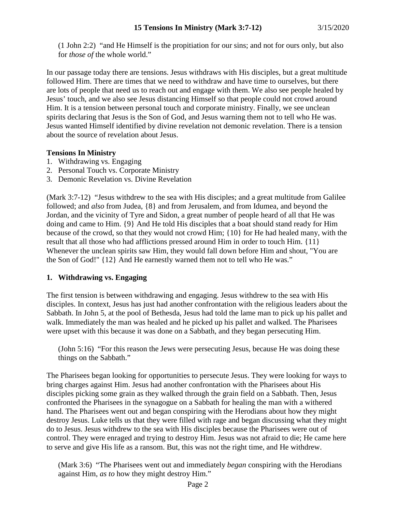(1 John 2:2) "and He Himself is the propitiation for our sins; and not for ours only, but also for *those of* the whole world."

In our passage today there are tensions. Jesus withdraws with His disciples, but a great multitude followed Him. There are times that we need to withdraw and have time to ourselves, but there are lots of people that need us to reach out and engage with them. We also see people healed by Jesus' touch, and we also see Jesus distancing Himself so that people could not crowd around Him. It is a tension between personal touch and corporate ministry. Finally, we see unclean spirits declaring that Jesus is the Son of God, and Jesus warning them not to tell who He was. Jesus wanted Himself identified by divine revelation not demonic revelation. There is a tension about the source of revelation about Jesus.

### **Tensions In Ministry**

- 1. Withdrawing vs. Engaging
- 2. Personal Touch vs. Corporate Ministry
- 3. Demonic Revelation vs. Divine Revelation

(Mark 3:7-12) "Jesus withdrew to the sea with His disciples; and a great multitude from Galilee followed; and *also* from Judea, {8} and from Jerusalem, and from Idumea, and beyond the Jordan, and the vicinity of Tyre and Sidon, a great number of people heard of all that He was doing and came to Him. {9} And He told His disciples that a boat should stand ready for Him because of the crowd, so that they would not crowd Him; {10} for He had healed many, with the result that all those who had afflictions pressed around Him in order to touch Him. {11} Whenever the unclean spirits saw Him, they would fall down before Him and shout, "You are the Son of God!" {12} And He earnestly warned them not to tell who He was."

# **1. Withdrawing vs. Engaging**

The first tension is between withdrawing and engaging. Jesus withdrew to the sea with His disciples. In context, Jesus has just had another confrontation with the religious leaders about the Sabbath. In John 5, at the pool of Bethesda, Jesus had told the lame man to pick up his pallet and walk. Immediately the man was healed and he picked up his pallet and walked. The Pharisees were upset with this because it was done on a Sabbath, and they began persecuting Him.

(John 5:16) "For this reason the Jews were persecuting Jesus, because He was doing these things on the Sabbath."

The Pharisees began looking for opportunities to persecute Jesus. They were looking for ways to bring charges against Him. Jesus had another confrontation with the Pharisees about His disciples picking some grain as they walked through the grain field on a Sabbath. Then, Jesus confronted the Pharisees in the synagogue on a Sabbath for healing the man with a withered hand. The Pharisees went out and began conspiring with the Herodians about how they might destroy Jesus. Luke tells us that they were filled with rage and began discussing what they might do to Jesus. Jesus withdrew to the sea with His disciples because the Pharisees were out of control. They were enraged and trying to destroy Him. Jesus was not afraid to die; He came here to serve and give His life as a ransom. But, this was not the right time, and He withdrew.

(Mark 3:6) "The Pharisees went out and immediately *began* conspiring with the Herodians against Him, *as to* how they might destroy Him."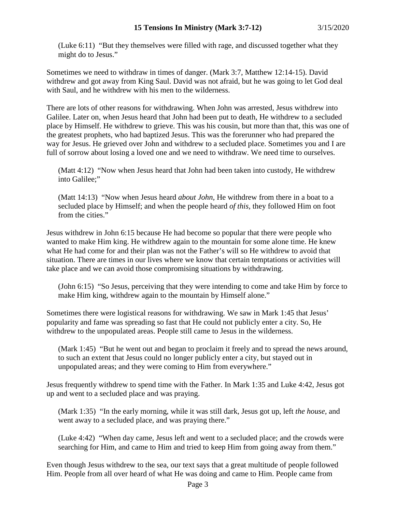(Luke 6:11) "But they themselves were filled with rage, and discussed together what they might do to Jesus."

Sometimes we need to withdraw in times of danger. (Mark 3:7, Matthew 12:14-15). David withdrew and got away from King Saul. David was not afraid, but he was going to let God deal with Saul, and he withdrew with his men to the wilderness.

There are lots of other reasons for withdrawing. When John was arrested, Jesus withdrew into Galilee. Later on, when Jesus heard that John had been put to death, He withdrew to a secluded place by Himself. He withdrew to grieve. This was his cousin, but more than that, this was one of the greatest prophets, who had baptized Jesus. This was the forerunner who had prepared the way for Jesus. He grieved over John and withdrew to a secluded place. Sometimes you and I are full of sorrow about losing a loved one and we need to withdraw. We need time to ourselves.

(Matt 4:12) "Now when Jesus heard that John had been taken into custody, He withdrew into Galilee;"

(Matt 14:13) "Now when Jesus heard *about John,* He withdrew from there in a boat to a secluded place by Himself; and when the people heard *of this,* they followed Him on foot from the cities."

Jesus withdrew in John 6:15 because He had become so popular that there were people who wanted to make Him king. He withdrew again to the mountain for some alone time. He knew what He had come for and their plan was not the Father's will so He withdrew to avoid that situation. There are times in our lives where we know that certain temptations or activities will take place and we can avoid those compromising situations by withdrawing.

(John 6:15) "So Jesus, perceiving that they were intending to come and take Him by force to make Him king, withdrew again to the mountain by Himself alone."

Sometimes there were logistical reasons for withdrawing. We saw in Mark 1:45 that Jesus' popularity and fame was spreading so fast that He could not publicly enter a city. So, He withdrew to the unpopulated areas. People still came to Jesus in the wilderness.

(Mark 1:45) "But he went out and began to proclaim it freely and to spread the news around, to such an extent that Jesus could no longer publicly enter a city, but stayed out in unpopulated areas; and they were coming to Him from everywhere."

Jesus frequently withdrew to spend time with the Father. In Mark 1:35 and Luke 4:42, Jesus got up and went to a secluded place and was praying.

(Mark 1:35) "In the early morning, while it was still dark, Jesus got up, left *the house,* and went away to a secluded place, and was praying there."

(Luke 4:42) "When day came, Jesus left and went to a secluded place; and the crowds were searching for Him, and came to Him and tried to keep Him from going away from them."

Even though Jesus withdrew to the sea, our text says that a great multitude of people followed Him. People from all over heard of what He was doing and came to Him. People came from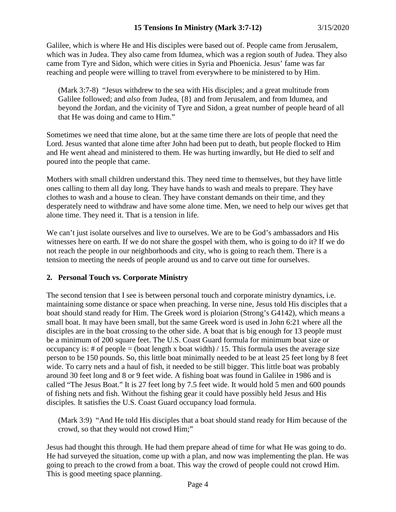Galilee, which is where He and His disciples were based out of. People came from Jerusalem, which was in Judea. They also came from Idumea, which was a region south of Judea. They also came from Tyre and Sidon, which were cities in Syria and Phoenicia. Jesus' fame was far reaching and people were willing to travel from everywhere to be ministered to by Him.

(Mark 3:7-8) "Jesus withdrew to the sea with His disciples; and a great multitude from Galilee followed; and *also* from Judea, {8} and from Jerusalem, and from Idumea, and beyond the Jordan, and the vicinity of Tyre and Sidon, a great number of people heard of all that He was doing and came to Him."

Sometimes we need that time alone, but at the same time there are lots of people that need the Lord. Jesus wanted that alone time after John had been put to death, but people flocked to Him and He went ahead and ministered to them. He was hurting inwardly, but He died to self and poured into the people that came.

Mothers with small children understand this. They need time to themselves, but they have little ones calling to them all day long. They have hands to wash and meals to prepare. They have clothes to wash and a house to clean. They have constant demands on their time, and they desperately need to withdraw and have some alone time. Men, we need to help our wives get that alone time. They need it. That is a tension in life.

We can't just isolate ourselves and live to ourselves. We are to be God's ambassadors and His witnesses here on earth. If we do not share the gospel with them, who is going to do it? If we do not reach the people in our neighborhoods and city, who is going to reach them. There is a tension to meeting the needs of people around us and to carve out time for ourselves.

# **2. Personal Touch vs. Corporate Ministry**

The second tension that I see is between personal touch and corporate ministry dynamics, i.e. maintaining some distance or space when preaching. In verse nine, Jesus told His disciples that a boat should stand ready for Him. The Greek word is ploiarion (Strong's G4142), which means a small boat. It may have been small, but the same Greek word is used in John 6:21 where all the disciples are in the boat crossing to the other side. A boat that is big enough for 13 people must be a minimum of 200 square feet. The U.S. Coast Guard formula for minimum boat size or occupancy is: # of people = (boat length x boat width) / 15. This formula uses the average size person to be 150 pounds. So, this little boat minimally needed to be at least 25 feet long by 8 feet wide. To carry nets and a haul of fish, it needed to be still bigger. This little boat was probably around 30 feet long and 8 or 9 feet wide. A fishing boat was found in Galilee in 1986 and is called "The Jesus Boat." It is 27 feet long by 7.5 feet wide. It would hold 5 men and 600 pounds of fishing nets and fish. Without the fishing gear it could have possibly held Jesus and His disciples. It satisfies the U.S. Coast Guard occupancy load formula.

(Mark 3:9) "And He told His disciples that a boat should stand ready for Him because of the crowd, so that they would not crowd Him;"

Jesus had thought this through. He had them prepare ahead of time for what He was going to do. He had surveyed the situation, come up with a plan, and now was implementing the plan. He was going to preach to the crowd from a boat. This way the crowd of people could not crowd Him. This is good meeting space planning.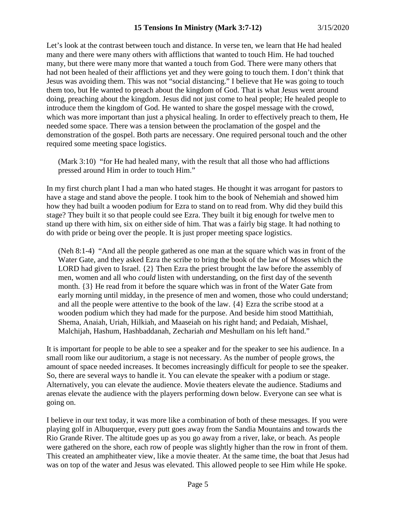Let's look at the contrast between touch and distance. In verse ten, we learn that He had healed many and there were many others with afflictions that wanted to touch Him. He had touched many, but there were many more that wanted a touch from God. There were many others that had not been healed of their afflictions yet and they were going to touch them. I don't think that Jesus was avoiding them. This was not "social distancing." I believe that He was going to touch them too, but He wanted to preach about the kingdom of God. That is what Jesus went around doing, preaching about the kingdom. Jesus did not just come to heal people; He healed people to introduce them the kingdom of God. He wanted to share the gospel message with the crowd, which was more important than just a physical healing. In order to effectively preach to them, He needed some space. There was a tension between the proclamation of the gospel and the demonstration of the gospel. Both parts are necessary. One required personal touch and the other required some meeting space logistics.

(Mark 3:10) "for He had healed many, with the result that all those who had afflictions pressed around Him in order to touch Him."

In my first church plant I had a man who hated stages. He thought it was arrogant for pastors to have a stage and stand above the people. I took him to the book of Nehemiah and showed him how they had built a wooden podium for Ezra to stand on to read from. Why did they build this stage? They built it so that people could see Ezra. They built it big enough for twelve men to stand up there with him, six on either side of him. That was a fairly big stage. It had nothing to do with pride or being over the people. It is just proper meeting space logistics.

(Neh 8:1-4) "And all the people gathered as one man at the square which was in front of the Water Gate, and they asked Ezra the scribe to bring the book of the law of Moses which the LORD had given to Israel. {2} Then Ezra the priest brought the law before the assembly of men, women and all who *could* listen with understanding, on the first day of the seventh month. {3} He read from it before the square which was in front of the Water Gate from early morning until midday, in the presence of men and women, those who could understand; and all the people were attentive to the book of the law. {4} Ezra the scribe stood at a wooden podium which they had made for the purpose. And beside him stood Mattithiah, Shema, Anaiah, Uriah, Hilkiah, and Maaseiah on his right hand; and Pedaiah, Mishael, Malchijah, Hashum, Hashbaddanah, Zechariah *and* Meshullam on his left hand."

It is important for people to be able to see a speaker and for the speaker to see his audience. In a small room like our auditorium, a stage is not necessary. As the number of people grows, the amount of space needed increases. It becomes increasingly difficult for people to see the speaker. So, there are several ways to handle it. You can elevate the speaker with a podium or stage. Alternatively, you can elevate the audience. Movie theaters elevate the audience. Stadiums and arenas elevate the audience with the players performing down below. Everyone can see what is going on.

I believe in our text today, it was more like a combination of both of these messages. If you were playing golf in Albuquerque, every putt goes away from the Sandia Mountains and towards the Rio Grande River. The altitude goes up as you go away from a river, lake, or beach. As people were gathered on the shore, each row of people was slightly higher than the row in front of them. This created an amphitheater view, like a movie theater. At the same time, the boat that Jesus had was on top of the water and Jesus was elevated. This allowed people to see Him while He spoke.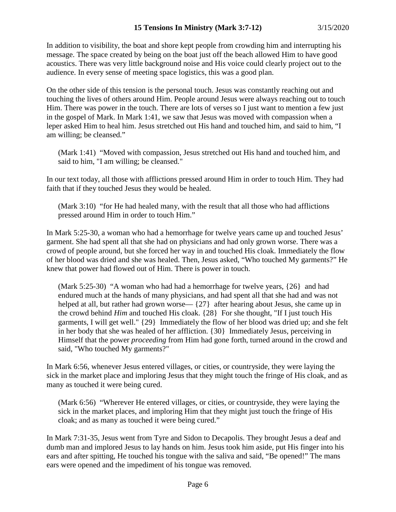In addition to visibility, the boat and shore kept people from crowding him and interrupting his message. The space created by being on the boat just off the beach allowed Him to have good acoustics. There was very little background noise and His voice could clearly project out to the audience. In every sense of meeting space logistics, this was a good plan.

On the other side of this tension is the personal touch. Jesus was constantly reaching out and touching the lives of others around Him. People around Jesus were always reaching out to touch Him. There was power in the touch. There are lots of verses so I just want to mention a few just in the gospel of Mark. In Mark 1:41, we saw that Jesus was moved with compassion when a leper asked Him to heal him. Jesus stretched out His hand and touched him, and said to him, "I am willing; be cleansed."

(Mark 1:41) "Moved with compassion, Jesus stretched out His hand and touched him, and said to him, "I am willing; be cleansed."

In our text today, all those with afflictions pressed around Him in order to touch Him. They had faith that if they touched Jesus they would be healed.

(Mark 3:10) "for He had healed many, with the result that all those who had afflictions pressed around Him in order to touch Him."

In Mark 5:25-30, a woman who had a hemorrhage for twelve years came up and touched Jesus' garment. She had spent all that she had on physicians and had only grown worse. There was a crowd of people around, but she forced her way in and touched His cloak. Immediately the flow of her blood was dried and she was healed. Then, Jesus asked, "Who touched My garments?" He knew that power had flowed out of Him. There is power in touch.

(Mark 5:25-30) "A woman who had had a hemorrhage for twelve years, {26} and had endured much at the hands of many physicians, and had spent all that she had and was not helped at all, but rather had grown worse— $\{27\}$  after hearing about Jesus, she came up in the crowd behind *Him* and touched His cloak. {28} For she thought, "If I just touch His garments, I will get well." {29} Immediately the flow of her blood was dried up; and she felt in her body that she was healed of her affliction. {30} Immediately Jesus, perceiving in Himself that the power *proceeding* from Him had gone forth, turned around in the crowd and said, "Who touched My garments?"

In Mark 6:56, whenever Jesus entered villages, or cities, or countryside, they were laying the sick in the market place and imploring Jesus that they might touch the fringe of His cloak, and as many as touched it were being cured.

(Mark 6:56) "Wherever He entered villages, or cities, or countryside, they were laying the sick in the market places, and imploring Him that they might just touch the fringe of His cloak; and as many as touched it were being cured."

In Mark 7:31-35, Jesus went from Tyre and Sidon to Decapolis. They brought Jesus a deaf and dumb man and implored Jesus to lay hands on him. Jesus took him aside, put His finger into his ears and after spitting, He touched his tongue with the saliva and said, "Be opened!" The mans ears were opened and the impediment of his tongue was removed.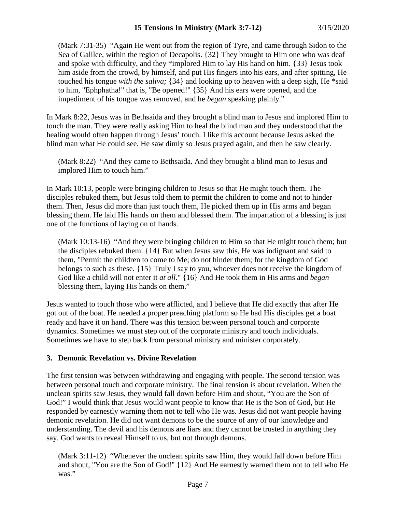(Mark 7:31-35) "Again He went out from the region of Tyre, and came through Sidon to the Sea of Galilee, within the region of Decapolis. {32} They brought to Him one who was deaf and spoke with difficulty, and they \*implored Him to lay His hand on him. {33} Jesus took him aside from the crowd, by himself, and put His fingers into his ears, and after spitting, He touched his tongue *with the saliva;* {34} and looking up to heaven with a deep sigh, He \*said to him, "Ephphatha!" that is, "Be opened!" {35} And his ears were opened, and the impediment of his tongue was removed, and he *began* speaking plainly."

In Mark 8:22, Jesus was in Bethsaida and they brought a blind man to Jesus and implored Him to touch the man. They were really asking Him to heal the blind man and they understood that the healing would often happen through Jesus' touch. I like this account because Jesus asked the blind man what He could see. He saw dimly so Jesus prayed again, and then he saw clearly.

(Mark 8:22) "And they came to Bethsaida. And they brought a blind man to Jesus and implored Him to touch him."

In Mark 10:13, people were bringing children to Jesus so that He might touch them. The disciples rebuked them, but Jesus told them to permit the children to come and not to hinder them. Then, Jesus did more than just touch them, He picked them up in His arms and began blessing them. He laid His hands on them and blessed them. The impartation of a blessing is just one of the functions of laying on of hands.

(Mark 10:13-16) "And they were bringing children to Him so that He might touch them; but the disciples rebuked them. {14} But when Jesus saw this, He was indignant and said to them, "Permit the children to come to Me; do not hinder them; for the kingdom of God belongs to such as these. {15} Truly I say to you, whoever does not receive the kingdom of God like a child will not enter it *at all.*" {16} And He took them in His arms and *began* blessing them, laying His hands on them."

Jesus wanted to touch those who were afflicted, and I believe that He did exactly that after He got out of the boat. He needed a proper preaching platform so He had His disciples get a boat ready and have it on hand. There was this tension between personal touch and corporate dynamics. Sometimes we must step out of the corporate ministry and touch individuals. Sometimes we have to step back from personal ministry and minister corporately.

# **3. Demonic Revelation vs. Divine Revelation**

The first tension was between withdrawing and engaging with people. The second tension was between personal touch and corporate ministry. The final tension is about revelation. When the unclean spirits saw Jesus, they would fall down before Him and shout, "You are the Son of God!" I would think that Jesus would want people to know that He is the Son of God, but He responded by earnestly warning them not to tell who He was. Jesus did not want people having demonic revelation. He did not want demons to be the source of any of our knowledge and understanding. The devil and his demons are liars and they cannot be trusted in anything they say. God wants to reveal Himself to us, but not through demons.

(Mark 3:11-12) "Whenever the unclean spirits saw Him, they would fall down before Him and shout, "You are the Son of God!" {12} And He earnestly warned them not to tell who He was."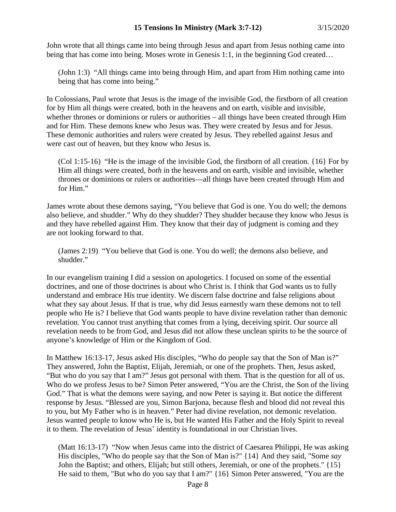John wrote that all things came into being through Jesus and apart from Jesus nothing came into being that has come into being. Moses wrote in Genesis 1:1, in the beginning God created...

(John 1:3) "All things came into being through Him, and apart from Him nothing came into being that has come into being."

In Colossians, Paul wrote that Jesus is the image of the invisible God, the firstborn of all creation for by Him all things were created, both in the heavens and on earth, visible and invisible, whether thrones or dominions or rulers or authorities – all things have been created through Him and for Him. These demons knew who Jesus was. They were created by Jesus and for Jesus. These demonic authorities and rulers were created by Jesus. They rebelled against Jesus and were cast out of heaven, but they know who Jesus is.

 $(Col 1:15-16)$  "He is the image of the invisible God, the firstborn of all creation.  $\{16\}$  For by Him all things were created, *both* in the heavens and on earth, visible and invisible, whether thrones or dominions or rulers or authorities—all things have been created through Him and for Him."

James wrote about these demons saying, "You believe that God is one. You do well; the demons also believe, and shudder." Why do they shudder? They shudder because they know who Jesus is and they have rebelled against Him. They know that their day of judgment is coming and they are not looking forward to that.

(James 2:19) "You believe that God is one. You do well; the demons also believe, and shudder."

In our evangelism training I did a session on apologetics. I focused on some of the essential doctrines, and one of those doctrines is about who Christ is. I think that God wants us to fully understand and embrace His true identity. We discern false doctrine and false religions about what they say about Jesus. If that is true, why did Jesus earnestly warn these demons not to tell people who He is? I believe that God wants people to have divine revelation rather than demonic revelation. You cannot trust anything that comes from a lying, deceiving spirit. Our source all revelation needs to be from God, and Jesus did not allow these unclean spirits to be the source of anyone's knowledge of Him or the Kingdom of God.

In Matthew 16:13-17, Jesus asked His disciples, "Who do people say that the Son of Man is?" They answered, John the Baptist, Elijah, Jeremiah, or one of the prophets. Then, Jesus asked, "But who do you say that I am?" Jesus got personal with them. That is the question for all of us. Who do we profess Jesus to be? Simon Peter answered, "You are the Christ, the Son of the living God." That is what the demons were saying, and now Peter is saying it. But notice the different response by Jesus. "Blessed are you, Simon Barjona, because flesh and blood did not reveal this to you, but My Father who is in heaven." Peter had divine revelation, not demonic revelation. Jesus wanted people to know who He is, but He wanted His Father and the Holy Spirit to reveal it to them. The revelation of Jesus' identity is foundational in our Christian lives.

(Matt 16:13-17) "Now when Jesus came into the district of Caesarea Philippi, He was asking His disciples, "Who do people say that the Son of Man is?" {14} And they said, "Some *say* John the Baptist; and others, Elijah; but still others, Jeremiah, or one of the prophets." {15} He said to them, "But who do you say that I am?" {16} Simon Peter answered, "You are the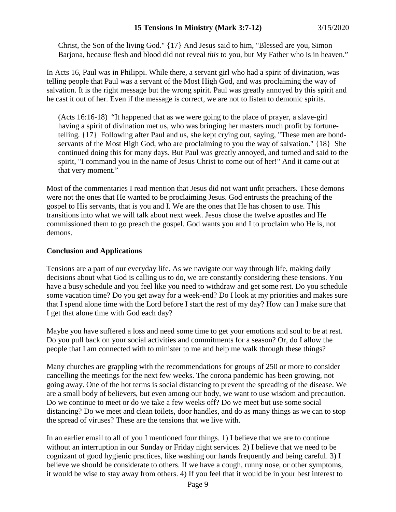Christ, the Son of the living God." {17} And Jesus said to him, "Blessed are you, Simon Barjona, because flesh and blood did not reveal *this* to you, but My Father who is in heaven."

In Acts 16, Paul was in Philippi. While there, a servant girl who had a spirit of divination, was telling people that Paul was a servant of the Most High God, and was proclaiming the way of salvation. It is the right message but the wrong spirit. Paul was greatly annoyed by this spirit and he cast it out of her. Even if the message is correct, we are not to listen to demonic spirits.

(Acts 16:16-18) "It happened that as we were going to the place of prayer, a slave-girl having a spirit of divination met us, who was bringing her masters much profit by fortunetelling. {17} Following after Paul and us, she kept crying out, saying, "These men are bondservants of the Most High God, who are proclaiming to you the way of salvation." {18} She continued doing this for many days. But Paul was greatly annoyed, and turned and said to the spirit, "I command you in the name of Jesus Christ to come out of her!" And it came out at that very moment."

Most of the commentaries I read mention that Jesus did not want unfit preachers. These demons were not the ones that He wanted to be proclaiming Jesus. God entrusts the preaching of the gospel to His servants, that is you and I. We are the ones that He has chosen to use. This transitions into what we will talk about next week. Jesus chose the twelve apostles and He commissioned them to go preach the gospel. God wants you and I to proclaim who He is, not demons.

# **Conclusion and Applications**

Tensions are a part of our everyday life. As we navigate our way through life, making daily decisions about what God is calling us to do, we are constantly considering these tensions. You have a busy schedule and you feel like you need to withdraw and get some rest. Do you schedule some vacation time? Do you get away for a week-end? Do I look at my priorities and makes sure that I spend alone time with the Lord before I start the rest of my day? How can I make sure that I get that alone time with God each day?

Maybe you have suffered a loss and need some time to get your emotions and soul to be at rest. Do you pull back on your social activities and commitments for a season? Or, do I allow the people that I am connected with to minister to me and help me walk through these things?

Many churches are grappling with the recommendations for groups of 250 or more to consider cancelling the meetings for the next few weeks. The corona pandemic has been growing, not going away. One of the hot terms is social distancing to prevent the spreading of the disease. We are a small body of believers, but even among our body, we want to use wisdom and precaution. Do we continue to meet or do we take a few weeks off? Do we meet but use some social distancing? Do we meet and clean toilets, door handles, and do as many things as we can to stop the spread of viruses? These are the tensions that we live with.

In an earlier email to all of you I mentioned four things. 1) I believe that we are to continue without an interruption in our Sunday or Friday night services. 2) I believe that we need to be cognizant of good hygienic practices, like washing our hands frequently and being careful. 3) I believe we should be considerate to others. If we have a cough, runny nose, or other symptoms, it would be wise to stay away from others. 4) If you feel that it would be in your best interest to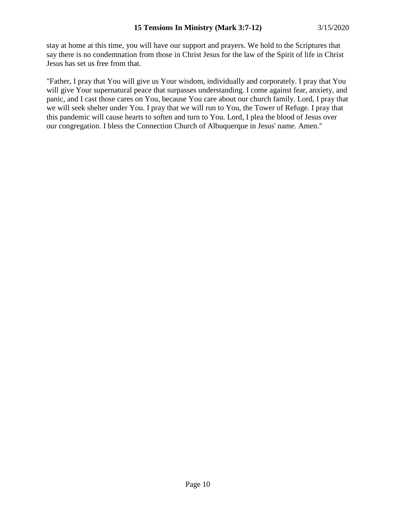stay at home at this time, you will have our support and prayers. We hold to the Scriptures that say there is no condemnation from those in Christ Jesus for the law of the Spirit of life in Christ Jesus has set us free from that.

"Father, I pray that You will give us Your wisdom, individually and corporately. I pray that You will give Your supernatural peace that surpasses understanding. I come against fear, anxiety, and panic, and I cast those cares on You, because You care about our church family. Lord, I pray that we will seek shelter under You. I pray that we will run to You, the Tower of Refuge. I pray that this pandemic will cause hearts to soften and turn to You. Lord, I plea the blood of Jesus over our congregation. I bless the Connection Church of Albuquerque in Jesus' name. Amen."